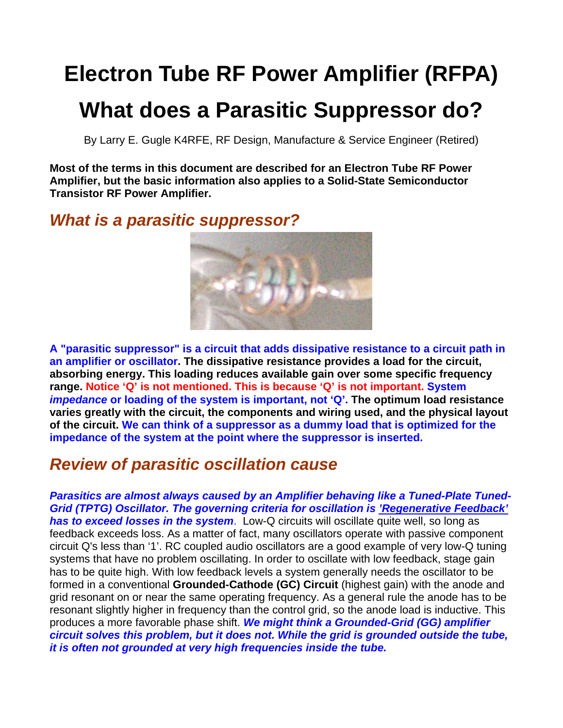# **Electron Tube RF Power Amplifier (RFPA)**

## **What does a Parasitic Suppressor do?**

By Larry E. Gugle K4RFE, RF Design, Manufacture & Service Engineer (Retired)

**Most of the terms in this document are described for an Electron Tube RF Power Amplifier, but the basic information also applies to a Solid-State Semiconductor Transistor RF Power Amplifier.** 

*What is a parasitic suppressor?* 



**A "parasitic suppressor" is a circuit that adds dissipative resistance to a circuit path in an amplifier or oscillator. The dissipative resistance provides a load for the circuit, absorbing energy. This loading reduces available gain over some specific frequency range. Notice 'Q' is not mentioned. This is because 'Q' is not important. System**  *impedance* **or loading of the system is important, not 'Q'. The optimum load resistance varies greatly with the circuit, the components and wiring used, and the physical layout of the circuit. We can think of a suppressor as a dummy load that is optimized for the impedance of the system at the point where the suppressor is inserted.**

## *Review of parasitic oscillation cause*

*Parasitics are almost always caused by an Amplifier behaving like a Tuned-Plate Tuned-Grid (TPTG) Oscillator. The governing criteria for oscillation is 'Regenerative Feedback' has to exceed losses in the system*. Low-Q circuits will oscillate quite well, so long as feedback exceeds loss. As a matter of fact, many oscillators operate with passive component circuit Q's less than '1'. RC coupled audio oscillators are a good example of very low-Q tuning systems that have no problem oscillating. In order to oscillate with low feedback, stage gain has to be quite high. With low feedback levels a system generally needs the oscillator to be formed in a conventional **Grounded-Cathode (GC) Circuit** (highest gain) with the anode and grid resonant on or near the same operating frequency. As a general rule the anode has to be resonant slightly higher in frequency than the control grid, so the anode load is inductive. This produces a more favorable phase shift. *We might think a Grounded-Grid (GG) amplifier circuit solves this problem, but it does not. While the grid is grounded outside the tube, it is often not grounded at very high frequencies inside the tube.*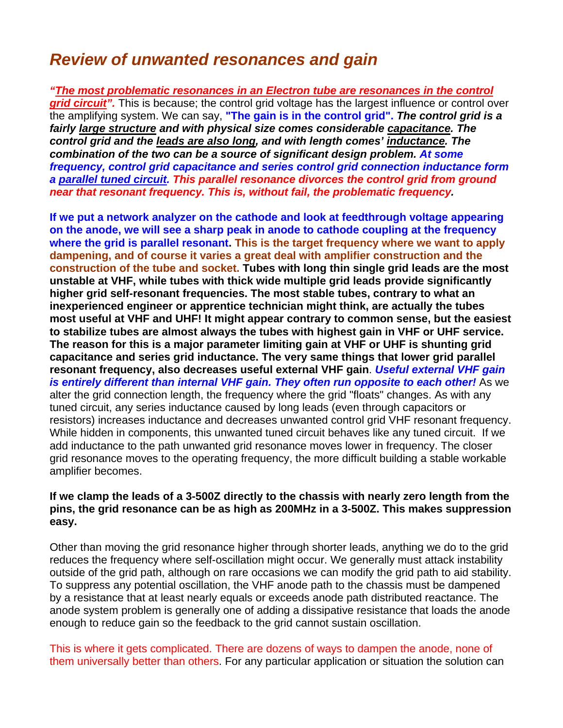### *Review of unwanted resonances and gain*

*"The most problematic resonances in an Electron tube are resonances in the control grid circuit"*. This is because; the control grid voltage has the largest influence or control over the amplifying system. We can say, **"The gain is in the control grid".** *The control grid is a fairly large structure and with physical size comes considerable capacitance. The control grid and the leads are also long, and with length comes' inductance. The combination of the two can be a source of significant design problem. At some frequency, control grid capacitance and series control grid connection inductance form a parallel tuned circuit. This parallel resonance divorces the control grid from ground near that resonant frequency. This is, without fail, the problematic frequency.* 

**If we put a network analyzer on the cathode and look at feedthrough voltage appearing on the anode, we will see a sharp peak in anode to cathode coupling at the frequency where the grid is parallel resonant. This is the target frequency where we want to apply dampening, and of course it varies a great deal with amplifier construction and the construction of the tube and socket. Tubes with long thin single grid leads are the most unstable at VHF, while tubes with thick wide multiple grid leads provide significantly higher grid self-resonant frequencies. The most stable tubes, contrary to what an inexperienced engineer or apprentice technician might think, are actually the tubes most useful at VHF and UHF! It might appear contrary to common sense, but the easiest to stabilize tubes are almost always the tubes with highest gain in VHF or UHF service. The reason for this is a major parameter limiting gain at VHF or UHF is shunting grid capacitance and series grid inductance. The very same things that lower grid parallel resonant frequency, also decreases useful external VHF gain**. *Useful external VHF gain is entirely different than internal VHF gain. They often run opposite to each other!* As we alter the grid connection length, the frequency where the grid "floats" changes. As with any tuned circuit, any series inductance caused by long leads (even through capacitors or resistors) increases inductance and decreases unwanted control grid VHF resonant frequency. While hidden in components, this unwanted tuned circuit behaves like any tuned circuit. If we add inductance to the path unwanted grid resonance moves lower in frequency. The closer grid resonance moves to the operating frequency, the more difficult building a stable workable amplifier becomes.

#### **If we clamp the leads of a 3-500Z directly to the chassis with nearly zero length from the pins, the grid resonance can be as high as 200MHz in a 3-500Z. This makes suppression easy.**

Other than moving the grid resonance higher through shorter leads, anything we do to the grid reduces the frequency where self-oscillation might occur. We generally must attack instability outside of the grid path, although on rare occasions we can modify the grid path to aid stability. To suppress any potential oscillation, the VHF anode path to the chassis must be dampened by a resistance that at least nearly equals or exceeds anode path distributed reactance. The anode system problem is generally one of adding a dissipative resistance that loads the anode enough to reduce gain so the feedback to the grid cannot sustain oscillation.

This is where it gets complicated. There are dozens of ways to dampen the anode, none of them universally better than others. For any particular application or situation the solution can